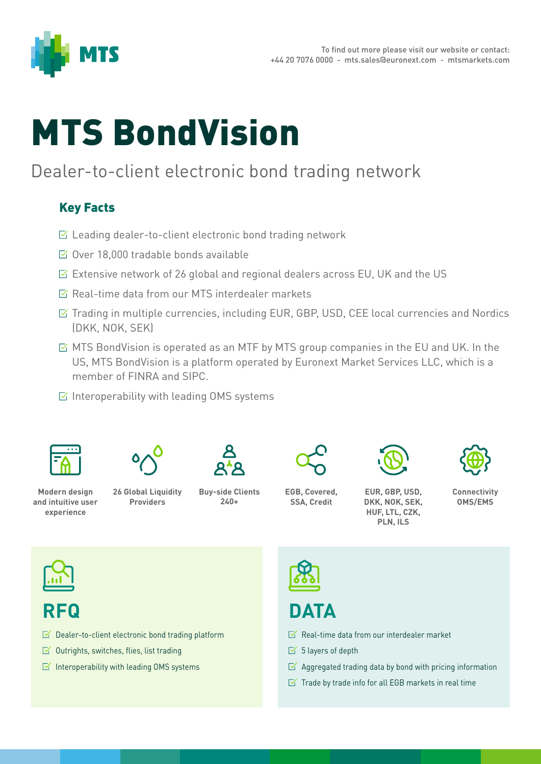

# MTS BondVision

## Dealer-to-client electronic bond trading network

#### Key Facts

- $\triangleright$  Leading dealer-to-client electronic bond trading network
- $\boxtimes$  Over 18,000 tradable bonds available
- $\triangleright$  Extensive network of 26 global and regional dealers across EU, UK and the US
- $\sqrt{a}$  Real-time data from our MTS interdealer markets
- $\boxtimes$  Trading in multiple currencies, including EUR, GBP, USD, CEE local currencies and Nordics (DKK, NOK, SEK)
- $\boxtimes$  MTS BondVision is operated as an MTF by MTS group companies in the EU and UK. In the US, MTS BondVision is a platform operated by Euronext Market Services LLC, which is a member of FINRA and SIPC.
- $\boxdot$  Interoperability with leading OMS systems





**26 Global Liquidity Providers**



**EGB, Covered,** 

**SSA, Credit**



**EUR, GBP, USD, DKK, NOK, SEK, HUF, LTL, CZK, PLN, ILS**



**Connectivity OMS/EMS**



## **RFQ**

- $\triangleright$  Dealer-to-client electronic bond trading platform
- $\leq$  Outrights, switches, flies, list trading
- $\leq$  Interoperability with leading OMS systems



# **DATA**

- $\sqrt{a}$  Real-time data from our interdealer market
- $\leq$  5 layers of depth
- $\boxtimes$  Aggregated trading data by bond with pricing information
- $\leq$  Trade by trade info for all EGB markets in real time